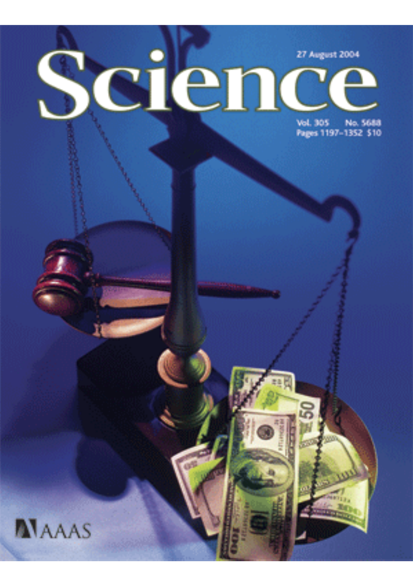27 August 2004 Scien Vol. 305 No. 5688 Pages 1197-1352 \$10

<u> Territorian de la pro</u>

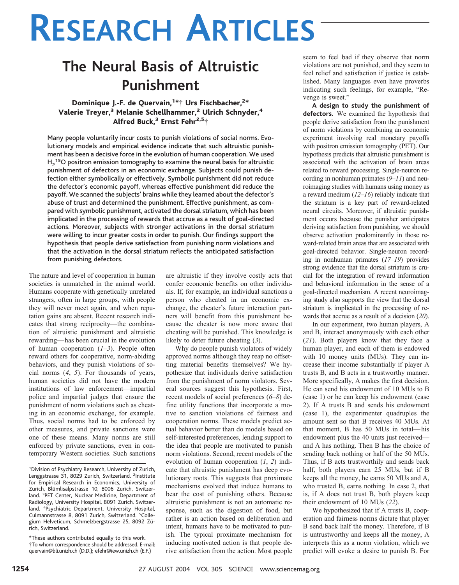# **RESEARCH ARTICLES**

## **The Neural Basis of Altruistic Punishment**

## Dominique J.-F. de Quervain,<sup>1\*†</sup> Urs Fischbacher,<sup>2\*</sup> Valerie Treyer,<sup>3</sup> Melanie Schellhammer,<sup>2</sup> Ulrich Schnyder,<sup>4</sup> Alfred Buck,<sup>3</sup> Ernst Fehr<sup>2,5</sup>†

Many people voluntarily incur costs to punish violations of social norms. Evolutionary models and empirical evidence indicate that such altruistic punishment has been a decisive force in the evolution of human cooperation. We used  $H_2^{-15}$ O positron emission tomography to examine the neural basis for altruistic punishment of defectors in an economic exchange. Subjects could punish defection either symbolically or effectively. Symbolic punishment did not reduce the defector's economic payoff, whereas effective punishment did reduce the payoff. We scanned the subjects' brains while they learned about the defector's abuse of trust and determined the punishment. Effective punishment, as compared with symbolic punishment, activated the dorsal striatum, which has been implicated in the processing of rewards that accrue as a result of goal-directed actions. Moreover, subjects with stronger activations in the dorsal striatum were willing to incur greater costs in order to punish. Our findings support the hypothesis that people derive satisfaction from punishing norm violations and that the activation in the dorsal striatum reflects the anticipated satisfaction from punishing defectors.

The nature and level of cooperation in human societies is unmatched in the animal world. Humans cooperate with genetically unrelated strangers, often in large groups, with people they will never meet again, and when reputation gains are absent. Recent research indicates that strong reciprocity—the combination of altruistic punishment and altruistic rewarding—has been crucial in the evolution of human cooperation (*1*–*3*). People often reward others for cooperative, norm-abiding behaviors, and they punish violations of social norms (*4*, *5*). For thousands of years, human societies did not have the modern institutions of law enforcement—impartial police and impartial judges that ensure the punishment of norm violations such as cheating in an economic exchange, for example. Thus, social norms had to be enforced by other measures, and private sanctions were one of these means. Many norms are still enforced by private sanctions, even in contemporary Western societies. Such sanctions

\*These authors contributed equally to this work.

†To whom correspondence should be addressed. E-mail: quervain@bli.unizh.ch (D.D.); efehr@iew.unizh.ch (E.F.)

are altruistic if they involve costly acts that confer economic benefits on other individuals. If, for example, an individual sanctions a person who cheated in an economic exchange, the cheater's future interaction partners will benefit from this punishment because the cheater is now more aware that cheating will be punished. This knowledge is likely to deter future cheating (*3*).

Why do people punish violators of widely approved norms although they reap no offsetting material benefits themselves? We hypothesize that individuals derive satisfaction from the punishment of norm violators. Several sources suggest this hypothesis. First, recent models of social preferences (*6*–*8*) define utility functions that incorporate a motive to sanction violations of fairness and cooperation norms. These models predict actual behavior better than do models based on self-interested preferences, lending support to the idea that people are motivated to punish norm violations. Second, recent models of the evolution of human cooperation (*1*, *2*) indicate that altruistic punishment has deep evolutionary roots. This suggests that proximate mechanisms evolved that induce humans to bear the cost of punishing others. Because altruistic punishment is not an automatic response, such as the digestion of food, but rather is an action based on deliberation and intent, humans have to be motivated to punish. The typical proximate mechanism for inducing motivated action is that people derive satisfaction from the action. Most people seem to feel bad if they observe that norm violations are not punished, and they seem to feel relief and satisfaction if justice is established. Many languages even have proverbs indicating such feelings, for example, "Revenge is sweet."

**A design to study the punishment of defectors.** We examined the hypothesis that people derive satisfaction from the punishment of norm violations by combining an economic experiment involving real monetary payoffs with positron emission tomography (PET). Our hypothesis predicts that altruistic punishment is associated with the activation of brain areas related to reward processing. Single-neuron recording in nonhuman primates (*9*–*11*) and neuroimaging studies with humans using money as a reward medium (*12*–*16*) reliably indicate that the striatum is a key part of reward-related neural circuits. Moreover, if altruistic punishment occurs because the punisher anticipates deriving satisfaction from punishing, we should observe activation predominantly in those reward-related brain areas that are associated with goal-directed behavior. Single-neuron recording in nonhuman primates (*17*–*19*) provides strong evidence that the dorsal striatum is crucial for the integration of reward information and behavioral information in the sense of a goal-directed mechanism. A recent neuroimaging study also supports the view that the dorsal striatum is implicated in the processing of rewards that accrue as a result of a decision (*20*).

In our experiment, two human players, A and B, interact anonymously with each other (*21*). Both players know that they face a human player, and each of them is endowed with 10 money units (MUs). They can increase their income substantially if player A trusts B, and B acts in a trustworthy manner. More specifically, A makes the first decision. He can send his endowment of 10 MUs to B (case 1) or he can keep his endowment (case 2). If A trusts B and sends his endowment (case 1), the experimenter quadruples the amount sent so that B receives 40 MUs. At that moment, B has 50 MUs in total—his endowment plus the 40 units just received and A has nothing. Then B has the choice of sending back nothing or half of the 50 MUs. Thus, if B acts trustworthily and sends back half, both players earn 25 MUs, but if B keeps all the money, he earns 50 MUs and A, who trusted B, earns nothing. In case 2, that is, if A does not trust B, both players keep their endowment of 10 MUs (*22*).

We hypothesized that if A trusts B, cooperation and fairness norms dictate that player B send back half the money. Therefore, if B is untrustworthy and keeps all the money, A interprets this as a norm violation, which we predict will evoke a desire to punish B. For

<sup>&</sup>lt;sup>1</sup>Division of Psychiatry Research, University of Zurich, Lenggstrasse 31, 8029 Zurich, Switzerland. <sup>2</sup>Institute for Empirical Research in Economics, University of Zurich, Blümlisalpstrasse 10, 8006 Zurich, Switzerland. <sup>3</sup> PET Center, Nuclear Medicine, Department of Radiology, University Hospital, 8091 Zurich, Switzerland. <sup>4</sup> Psychiatric Department, University Hospital, Culmannstrasse 8, 8091 Zurich, Switzerland. <sup>5</sup> Collegium Helveticum, Schmelzbergstrasse 25, 8092 Zürich, Switzerland.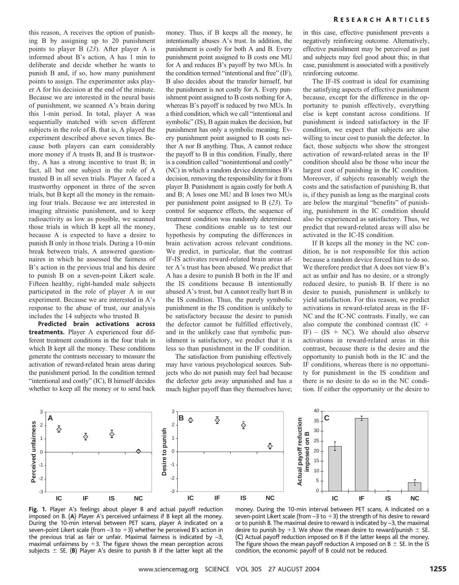this reason, A receives the option of punishing B by assigning up to 20 punishment points to player B (*23*). After player A is informed about B's action, A has 1 min to deliberate and decide whether he wants to punish B and, if so, how many punishment points to assign. The experimenter asks player A for his decision at the end of the minute. Because we are interested in the neural basis of punishment, we scanned A's brain during this 1-min period. In total, player A was sequentially matched with seven different subjects in the role of B, that is, A played the experiment described above seven times. Because both players can earn considerably more money if A trusts B, and B is trustworthy, A has a strong incentive to trust B; in fact, all but one subject in the role of A trusted B in all seven trials. Player A faced a trustworthy opponent in three of the seven trials, but B kept all the money in the remaining four trials. Because we are interested in imaging altruistic punishment, and to keep radioactivity as low as possible, we scanned those trials in which B kept all the money, because A is expected to have a desire to punish B only in those trials. During a 10-min break between trials, A answered questionnaires in which he assessed the fairness of B's action in the previous trial and his desire to punish B on a seven-point Likert scale. Fifteen healthy, right-handed male subjects participated in the role of player A in our experiment. Because we are interested in A's response to the abuse of trust, our analysis includes the 14 subjects who trusted B.

**Predicted brain activations across treatments.** Player A experienced four different treatment conditions in the four trials in which B kept all the money. These conditions generate the contrasts necessary to measure the activation of reward-related brain areas during the punishment period. In the condition termed "intentional and costly" (IC), B himself decides whether to keep all the money or to send back

money. Thus, if B keeps all the money, he intentionally abuses A's trust. In addition, the punishment is costly for both A and B. Every punishment point assigned to B costs one MU for A and reduces B's payoff by two MUs. In the condition termed "intentional and free" (IF), B also decides about the transfer himself, but the punishment is not costly for A. Every punishment point assigned to B costs nothing for A, whereas B's payoff is reduced by two MUs. In a third condition, which we call "intentional and symbolic" (IS), B again makes the decision, but punishment has only a symbolic meaning. Every punishment point assigned to B costs neither A nor B anything. Thus, A cannot reduce the payoff to B in this condition. Finally, there is a condition called "nonintentional and costly" (NC) in which a random device determines B's decision, removing the responsibility for it from player B. Punishment is again costly for both A and B; A loses one MU and B loses two MUs per punishment point assigned to B (*23*). To control for sequence effects, the sequence of treatment condition was randomly determined.

These conditions enable us to test our hypothesis by computing the differences in brain activation across relevant conditions. We predict, in particular, that the contrast IF-IS activates reward-related brain areas after A's trust has been abused. We predict that A has a desire to punish B both in the IF and the IS conditions because B intentionally abused A's trust, but A cannot really hurt B in the IS condition. Thus, the purely symbolic punishment in the IS condition is unlikely to be satisfactory because the desire to punish the defector cannot be fulfilled effectively, and in the unlikely case that symbolic punishment is satisfactory, we predict that it is less so than punishment in the IF condition.

The satisfaction from punishing effectively may have various psychological sources. Subjects who do not punish may feel bad because the defector gets away unpunished and has a much higher payoff than they themselves have; in this case, effective punishment prevents a negatively reinforcing outcome. Alternatively, effective punishment may be perceived as just and subjects may feel good about this; in that case, punishment is associated with a positively reinforcing outcome.

The IF-IS contrast is ideal for examining the satisfying aspects of effective punishment because, except for the difference in the opportunity to punish effectively, everything else is kept constant across conditions. If punishment is indeed satisfactory in the IF condition, we expect that subjects are also willing to incur cost to punish the defector. In fact, those subjects who show the strongest activation of reward-related areas in the IF condition should also be those who incur the largest cost of punishing in the IC condition. Moreover, if subjects reasonably weigh the costs and the satisfaction of punishing B, that is, if they punish as long as the marginal costs are below the marginal "benefits" of punishing, punishment in the IC condition should also be experienced as satisfactory. Thus, we predict that reward-related areas will also be activated in the IC-IS condition.

If B keeps all the money in the NC condition, he is not responsible for this action because a random device forced him to do so. We therefore predict that A does not view B's act as unfair and has no desire, or a strongly reduced desire, to punish B. If there is no desire to punish, punishment is unlikely to yield satisfaction. For this reason, we predict activations in reward-related areas in the IF-NC and the IC-NC contrasts. Finally, we can also compute the combined contrast (IC IF) – (IS + NC). We should also observe activations in reward-related areas in this contrast, because there is the desire and the opportunity to punish both in the IC and the IF conditions, whereas there is no opportunity for punishment in the IS condition and there is no desire to do so in the NC condition. If either the opportunity or the desire to



**Fig. 1.** Player A's feelings about player B and actual payoff reduction imposed on B. (**A**) Player A's perceived unfairness if B kept all the money. During the 10-min interval between PET scans, player A indicated on a seven-point Likert scale (from  $-3$  to  $+3$ ) whether he perceived B's action in the previous trial as fair or unfair. Maximal fairness is indicated by  $-3$ , maximal unfairness by  $+3$ . The figure shows the mean perception across subjects  $\pm$  SE. (**B**) Player A's desire to punish B if the latter kept all the

money. During the 10-min interval between PET scans, A indicated on a seven-point Likert scale (from  $-3$  to  $+3$ ) the strength of his desire to reward or to punish B. The maximal desire to reward is indicated by  $-3$ , the maximal desire to punish by  $+$ 3. We show the mean desire to reward/punish  $\pm$  SE. (**C**) Actual payoff reduction imposed on B if the latter keeps all the money. The figure shows the mean payoff reduction A imposed on B  $\pm$  SE. In the IS condition, the economic payoff of B could not be reduced.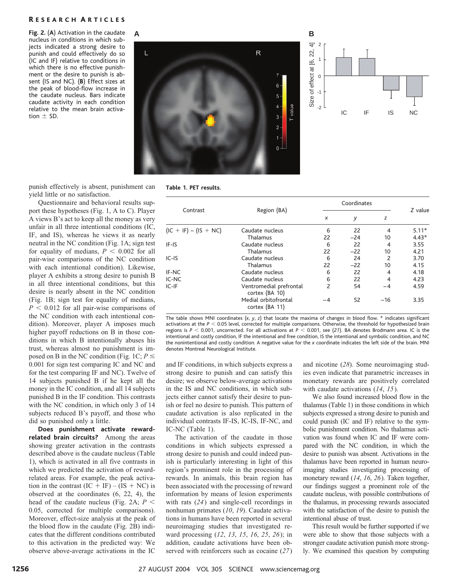#### R ESEARCH A RTICLES

**Fig. 2.** (**A**) Activation in the caudate **A B** nucleus in conditions in which subjects indicated a strong desire to punish and could effectively do so (IC and IF) relative to conditions in which there is no effective punishment or the desire to punish is absent (IS and NC). (**B**) Effect sizes at the peak of blood-flow increase in the caudate nucleus. Bars indicate caudate activity in each condition relative to the mean brain activation  $\pm$  SD.





punish effectively is absent, punishment can yield little or no satisfaction.

Questionnaire and behavioral results support these hypotheses (Fig. 1, A to C). Player A views B's act to keep all the money as very unfair in all three intentional conditions (IC, IF, and IS), whereas he views it as nearly neutral in the NC condition (Fig. 1A; sign test for equality of medians,  $P < 0.002$  for all pair-wise comparisons of the NC condition with each intentional condition). Likewise, player A exhibits a strong desire to punish B in all three intentional conditions, but this desire is nearly absent in the NC condition (Fig. 1B; sign test for equality of medians,  $P < 0.012$  for all pair-wise comparisons of the NC condition with each intentional condition). Moreover, player A imposes much higher payoff reductions on B in those conditions in which B intentionally abuses his trust, whereas almost no punishment is imposed on B in the NC condition (Fig. 1C;  $P \leq$ 0.001 for sign test comparing IC and NC and for the test comparing IF and NC). Twelve of 14 subjects punished B if he kept all the money in the IC condition, and all 14 subjects punished B in the IF condition. This contrasts with the NC condition, in which only 3 of 14 subjects reduced B's payoff, and those who did so punished only a little.

**Does punishment activate rewardrelated brain circuits?** Among the areas showing greater activation in the contrasts described above is the caudate nucleus (Table 1), which is activated in all five contrasts in which we predicted the activation of rewardrelated areas. For example, the peak activation in the contrast  $(IC + IF) - (IS + NC)$  is observed at the coordinates (6, 22, 4), the head of the caudate nucleus (Fig. 2A; *P* 0.05, corrected for multiple comparisons). Moreover, effect-size analysis at the peak of the blood flow in the caudate (Fig. 2B) indicates that the different conditions contributed to this activation in the predicted way: We observe above-average activations in the IC **Table 1. PET results.**

| Contrast                | Region (BA)                               | Coordinates |       |       | Z value |
|-------------------------|-------------------------------------------|-------------|-------|-------|---------|
|                         |                                           | X           | у     | z     |         |
| $(IC + IF) - (IS + NC)$ | Caudate nucleus                           | 6           | 22    | 4     | $5.11*$ |
|                         | Thalamus                                  | 22          | $-24$ | 10    | $4.43*$ |
| IF-IS                   | Caudate nucleus                           | 6           | 22    | 4     | 3.55    |
|                         | Thalamus                                  | 22          | $-22$ | 10    | 4.21    |
| IC-IS                   | Caudate nucleus                           | 6           | 24    | 2     | 3.70    |
|                         | Thalamus                                  | 22          | $-22$ | 10    | 4.15    |
| IF-NC                   | Caudate nucleus                           | 6           | 22    | 4     | 4.18    |
| IC-NC                   | Caudate nucleus                           | 6           | 22    | 4     | 4.23    |
| IC-IF                   | Ventromedial prefrontal<br>cortex (BA 10) | 2           | 54    | -4    | 4.59    |
|                         | Medial orbitofrontal<br>cortex (BA 11)    | -4          | 52    | $-16$ | 3.35    |

The table shows MNI coordinates  $(x, y, z)$  that locate the maxima of changes in blood flow.  $*$  indicates significant activations at the *P* < 0.05 level, corrected for multiple comparisons. Otherwise, the threshold for hypothesized brain regions is *P* 0.001, uncorrected. For all activations at *P* 0.001, see (*21*). BA denotes Brodmann area. IC is the intentional and costly condition, IF the intentional and free condition, IS the intentional and symbolic condition, and NC the nonintentional and costly condition. A negative value for the *x* coordinate indicates the left side of the brain. MNI denotes Montreal Neurological Institute.

and IF conditions, in which subjects express a strong desire to punish and can satisfy this desire; we observe below-average activations in the IS and NC conditions, in which subjects either cannot satisfy their desire to punish or feel no desire to punish. This pattern of caudate activation is also replicated in the individual contrasts IF-IS, IC-IS, IF-NC, and IC-NC (Table 1).

The activation of the caudate in those conditions in which subjects expressed a strong desire to punish and could indeed punish is particularly interesting in light of this region's prominent role in the processing of rewards. In animals, this brain region has been associated with the processing of reward information by means of lesion experiments with rats (*24*) and single-cell recordings in nonhuman primates (*10*, *19*). Caudate activations in humans have been reported in several neuroimaging studies that investigated reward processing (*12*, *13*, *15*, *16*, *25*, *26*); in addition, caudate activations have been observed with reinforcers such as cocaine (*27*) and nicotine (*28*). Some neuroimaging studies even indicate that parametric increases in monetary rewards are positively correlated with caudate activations (*14*, *15*).

We also found increased blood flow in the thalamus (Table 1) in those conditions in which subjects expressed a strong desire to punish and could punish (IC and IF) relative to the symbolic punishment condition. No thalamus activation was found when IC and IF were compared with the NC condition, in which the desire to punish was absent. Activations in the thalamus have been reported in human neuroimaging studies investigating processing of monetary reward (*14*, *16*, *26*). Taken together, our findings suggest a prominent role of the caudate nucleus, with possible contributions of the thalamus, in processing rewards associated with the satisfaction of the desire to punish the intentional abuse of trust.

This result would be further supported if we were able to show that those subjects with a stronger caudate activation punish more strongly. We examined this question by computing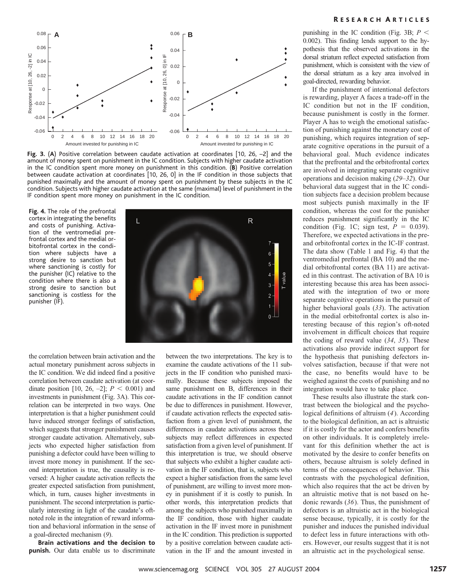

**Fig. 3.** (**A**) Positive correlation between caudate activation at coordinates [10, 26, –2] and the amount of money spent on punishment in the IC condition. Subjects with higher caudate activation in the IC condition spent more money on punishment in this condition. (**B**) Positive correlation between caudate activation at coordinates [10, 26, 0] in the IF condition in those subjects that punished maximally and the amount of money spent on punishment by these subjects in the IC condition. Subjects with higher caudate activation at the same (maximal) level of punishment in the IF condition spent more money on punishment in the IC condition.

**Fig. 4.** The role of the prefrontal cortex in integrating the benefits and costs of punishing. Activation of the ventromedial prefrontal cortex and the medial orbitofrontal cortex in the condition where subjects have a strong desire to sanction but where sanctioning is costly for the punisher (IC) relative to the condition where there is also a strong desire to sanction but sanctioning is costless for the punisher (IF).



the correlation between brain activation and the actual monetary punishment across subjects in the IC condition. We did indeed find a positive correlation between caudate activation (at coordinate position [10, 26,  $-2$ ];  $P < 0.001$ ) and investments in punishment (Fig. 3A). This correlation can be interpreted in two ways. One interpretation is that a higher punishment could have induced stronger feelings of satisfaction, which suggests that stronger punishment causes stronger caudate activation. Alternatively, subjects who expected higher satisfaction from punishing a defector could have been willing to invest more money in punishment. If the second interpretation is true, the causality is reversed: A higher caudate activation reflects the greater expected satisfaction from punishment, which, in turn, causes higher investments in punishment. The second interpretation is particularly interesting in light of the caudate's oftnoted role in the integration of reward information and behavioral information in the sense of a goal-directed mechanism (*9*).

**Brain activations and the decision to punish.** Our data enable us to discriminate between the two interpretations. The key is to examine the caudate activations of the 11 subjects in the IF condition who punished maximally. Because these subjects imposed the same punishment on B, differences in their caudate activations in the IF condition cannot be due to differences in punishment. However, if caudate activation reflects the expected satisfaction from a given level of punishment, the differences in caudate activations across these subjects may reflect differences in expected satisfaction from a given level of punishment. If this interpretation is true, we should observe that subjects who exhibit a higher caudate activation in the IF condition, that is, subjects who expect a higher satisfaction from the same level of punishment, are willing to invest more money in punishment if it is costly to punish. In other words, this interpretation predicts that among the subjects who punished maximally in the IF condition, those with higher caudate activation in the IF invest more in punishment in the IC condition. This prediction is supported by a positive correlation between caudate activation in the IF and the amount invested in

#### R ESEARCH A RTICLES

punishing in the IC condition (Fig. 3B;  $P \leq$ 0.002). This finding lends support to the hypothesis that the observed activations in the dorsal striatum reflect expected satisfaction from punishment, which is consistent with the view of the dorsal striatum as a key area involved in goal-directed, rewarding behavior.

If the punishment of intentional defectors is rewarding, player A faces a trade-off in the IC condition but not in the IF condition, because punishment is costly in the former. Player A has to weigh the emotional satisfaction of punishing against the monetary cost of punishing, which requires integration of separate cognitive operations in the pursuit of a behavioral goal. Much evidence indicates that the prefrontal and the orbitofrontal cortex are involved in integrating separate cognitive operations and decision making (*29*–*32*). Our behavioral data suggest that in the IC condition subjects face a decision problem because most subjects punish maximally in the IF condition, whereas the cost for the punisher reduces punishment significantly in the IC condition (Fig. 1C; sign test,  $P = 0.039$ ). Therefore, we expected activations in the preand orbitofrontal cortex in the IC-IF contrast. The data show (Table 1 and Fig. 4) that the ventromedial prefrontal (BA 10) and the medial orbitofrontal cortex (BA 11) are activated in this contrast. The activation of BA 10 is interesting because this area has been associated with the integration of two or more separate cognitive operations in the pursuit of higher behavioral goals (*33*). The activation in the medial orbitofrontal cortex is also interesting because of this region's oft-noted involvement in difficult choices that require the coding of reward value (*34*, *35*). These activations also provide indirect support for the hypothesis that punishing defectors involves satisfaction, because if that were not the case, no benefits would have to be weighed against the costs of punishing and no integration would have to take place.

These results also illustrate the stark contrast between the biological and the psychological definitions of altruism (*4*). According to the biological definition, an act is altruistic if it is costly for the actor and confers benefits on other individuals. It is completely irrelevant for this definition whether the act is motivated by the desire to confer benefits on others, because altruism is solely defined in terms of the consequences of behavior. This contrasts with the psychological definition, which also requires that the act be driven by an altruistic motive that is not based on hedonic rewards (*36*). Thus, the punishment of defectors is an altruistic act in the biological sense because, typically, it is costly for the punisher and induces the punished individual to defect less in future interactions with others. However, our results suggest that it is not an altruistic act in the psychological sense.